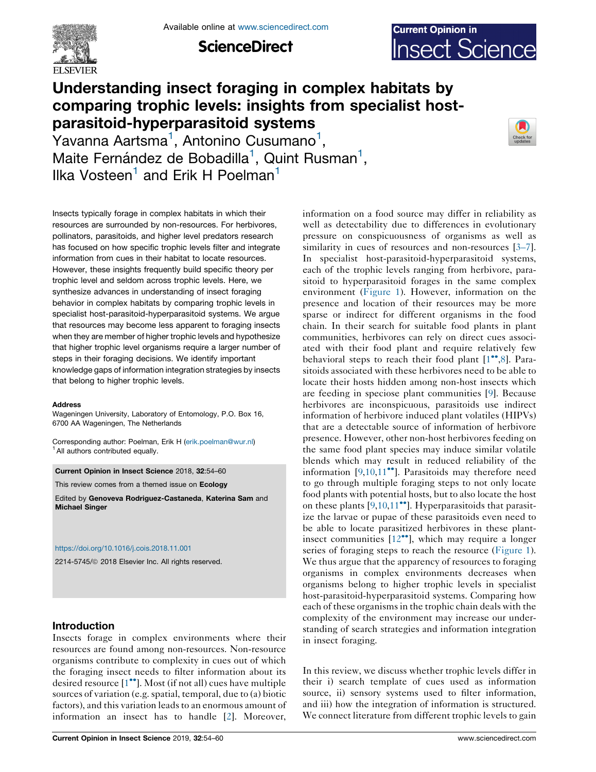

**ScienceDirect** 



# Understanding insect foraging in complex habitats by comparing trophic levels: insights from specialist hostparasitoid-hyperparasitoid systems

 $\rm Y$ avanna Aartsma $^1$ , Antonino Cusumano $^1$ , Maite Fernández de Bobadilla<sup>1</sup>, Quint Rusman<sup>1</sup>, Ilka Vosteen<sup>1</sup> and Erik H Poelman<sup>1</sup>



Insects typically forage in complex habitats in which their resources are surrounded by non-resources. For herbivores, pollinators, parasitoids, and higher level predators research has focused on how specific trophic levels filter and integrate information from cues in their habitat to locate resources. However, these insights frequently build specific theory per trophic level and seldom across trophic levels. Here, we synthesize advances in understanding of insect foraging behavior in complex habitats by comparing trophic levels in specialist host-parasitoid-hyperparasitoid systems. We argue that resources may become less apparent to foraging insects when they are member of higher trophic levels and hypothesize that higher trophic level organisms require a larger number of steps in their foraging decisions. We identify important knowledge gaps of information integration strategies by insects that belong to higher trophic levels.

#### **Address**

Wageningen University, Laboratory of Entomology, P.O. Box 16, 6700 AA Wageningen, The Netherlands

Corresponding author: Poelman, Erik H [\(erik.poelman@wur.nl](mailto:erik.poelman@wur.nl)) <sup>1</sup> All authors contributed equally.

Current Opinion in Insect Science 2018, 32:54–60

This review comes from a themed issue on Ecology

Edited by Genoveva Rodriguez-Castaneda, Katerina Sam and Michael Singer

#### <https://doi.org/10.1016/j.cois.2018.11.001>

2214-5745/ã 2018 Elsevier Inc. All rights reserved.

# Introduction

Insects forage in complex environments where their resources are found among non-resources. Non-resource organisms contribute to complexity in cues out of which the foraging insect needs to filter information about its desired resource [1<sup>••</sup>]. Most (if not all) cues have [multiple](#page-4-0) sources of variation (e.g. spatial, temporal, due to (a) biotic factors), and this variation leads to an enormous amount of information an insect has to handle [[2\]](#page-4-0). Moreover, information on a food source may differ in reliability as well as detectability due to differences in evolutionary pressure on conspicuousness of organisms as well as similarity in cues of resources and non-resources [[3–7](#page-4-0)]. In specialist host-parasitoid-hyperparasitoid systems, each of the trophic levels ranging from herbivore, parasitoid to hyperparasitoid forages in the same complex environment [\(Figure](#page-1-0) 1). However, information on the presence and location of their resources may be more sparse or indirect for different organisms in the food chain. In their search for suitable food plants in plant communities, herbivores can rely on direct cues associated with their food plant and require relatively few behavioral steps to reach their food plant  $[1^{\bullet\bullet}, 8]$  $[1^{\bullet\bullet}, 8]$ . Parasitoids associated with these herbivores need to be able to locate their hosts hidden among non-host insects which are feeding in speciose plant communities [[9\]](#page-4-0). Because herbivores are inconspicuous, parasitoids use indirect information of herbivore induced plant volatiles (HIPVs) that are a detectable source of information of herbivore presence. However, other non-host herbivores feeding on the same food plant species may induce similar volatile blends which may result in reduced reliability of the information  $[9,10,11$  $[9,10,11$  $[9,10,11$  $[9,10,11$ <sup>\*\*</sup>]. [Parasitoids](#page-4-0) may therefore need to go through multiple foraging steps to not only locate food plants with potential hosts, but to also locate the host on these plants  $[9,10,11$  $[9,10,11$  $[9,10,11$ <sup>\*\*</sup>]. [Hyperparasitoids](#page-4-0) that parasitize the larvae or pupae of these parasitoids even need to be able to locate parasitized herbivores in these plantinsect communities  $[12^{\bullet\bullet}]$ , which may [require](#page-4-0) a longer series of foraging steps to reach the resource ([Figure](#page-1-0) 1). We thus argue that the apparency of resources to foraging organisms in complex environments decreases when organisms belong to higher trophic levels in specialist host-parasitoid-hyperparasitoid systems. Comparing how each of these organisms in the trophic chain deals with the complexity of the environment may increase our understanding of search strategies and information integration in insect foraging.

In this review, we discuss whether trophic levels differ in their i) search template of cues used as information source, ii) sensory systems used to filter information, and iii) how the integration of information is structured. We connect literature from different trophic levels to gain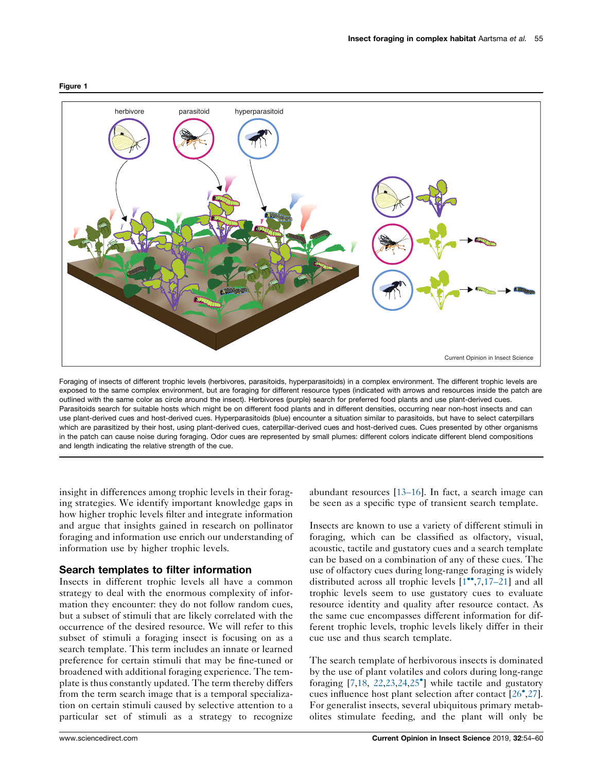

Foraging of insects of different trophic levels (herbivores, parasitoids, hyperparasitoids) in a complex environment. The different trophic levels are exposed to the same complex environment, but are foraging for different resource types (indicated with arrows and resources inside the patch are outlined with the same color as circle around the insect). Herbivores (purple) search for preferred food plants and use plant-derived cues. Parasitoids search for suitable hosts which might be on different food plants and in different densities, occurring near non-host insects and can use plant-derived cues and host-derived cues. Hyperparasitoids (blue) encounter a situation similar to parasitoids, but have to select caterpillars which are parasitized by their host, using plant-derived cues, caterpillar-derived cues and host-derived cues. Cues presented by other organisms in the patch can cause noise during foraging. Odor cues are represented by small plumes: different colors indicate different blend compositions and length indicating the relative strength of the cue.

insight in differences among trophic levels in their foraging strategies. We identify important knowledge gaps in how higher trophic levels filter and integrate information and argue that insights gained in research on pollinator foraging and information use enrich our understanding of information use by higher trophic levels.

### Search templates to filter information

Insects in different trophic levels all have a common strategy to deal with the enormous complexity of information they encounter: they do not follow random cues, but a subset of stimuli that are likely correlated with the occurrence of the desired resource. We will refer to this subset of stimuli a foraging insect is focusing on as a search template. This term includes an innate or learned preference for certain stimuli that may be fine-tuned or broadened with additional foraging experience. The template is thus constantly updated. The term thereby differs from the term search image that is a temporal specialization on certain stimuli caused by selective attention to a particular set of stimuli as a strategy to recognize abundant resources [[13–16\]](#page-4-0). In fact, a search image can be seen as a specific type of transient search template.

Insects are known to use a variety of different stimuli in foraging, which can be classified as olfactory, visual, acoustic, tactile and gustatory cues and a search template can be based on a combination of any of these cues. The use of olfactory cues during long-range foraging is widely distributed across all trophic levels  $[1^{\bullet\bullet},7,17-21]$  and all trophic levels seem to use gustatory cues to evaluate resource identity and quality after resource contact. As the same cue encompasses different information for different trophic levels, trophic levels likely differ in their cue use and thus search template.

The search template of herbivorous insects is dominated by the use of plant volatiles and colors during long-range foraging [[7,18](#page-4-0), [22,23](#page-4-0),[24,](#page-4-0)25 ] while tactile and [gustatory](#page-4-0) cues influence host plant selection after contact [\[26](#page-4-0) ,[27\]](#page-4-0). For generalist insects, several ubiquitous primary metabolites stimulate feeding, and the plant will only be

#### <span id="page-1-0"></span>Figure 1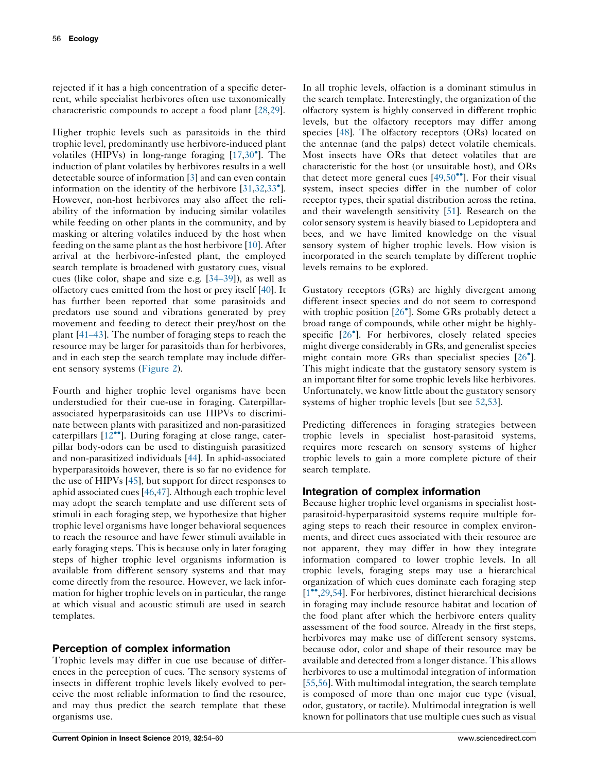rejected if it has a high concentration of a specific deterrent, while specialist herbivores often use taxonomically characteristic compounds to accept a food plant [\[28](#page-4-0),[29\]](#page-4-0).

Higher trophic levels such as parasitoids in the third trophic level, predominantly use herbivore-induced plant volatiles (HIPVs) in long-range foraging [\[17,](#page-4-0)30 ]. [The](#page-5-0) induction of plant volatiles by herbivores results in a well detectable source of information [\[3](#page-4-0)] and can even contain information on the identity of the herbivore [[31,32](#page-5-0),[33](#page-5-0) ]. However, non-host herbivores may also affect the reliability of the information by inducing similar volatiles while feeding on other plants in the community, and by masking or altering volatiles induced by the host when feeding on the same plant as the host herbivore [[10\]](#page-4-0). After arrival at the herbivore-infested plant, the employed search template is broadened with gustatory cues, visual cues (like color, shape and size e.g. [[34–39\]](#page-5-0)), as well as olfactory cues emitted from the host or prey itself [[40\]](#page-5-0). It has further been reported that some parasitoids and predators use sound and vibrations generated by prey movement and feeding to detect their prey/host on the plant [\[41–43](#page-5-0)]. The number of foraging steps to reach the resource may be larger for parasitoids than for herbivores, and in each step the search template may include different sensory systems ([Figure](#page-3-0) 2).

Fourth and higher trophic level organisms have been understudied for their cue-use in foraging. Caterpillarassociated hyperparasitoids can use HIPVs to discriminate between plants with parasitized and non-parasitized caterpillars  $[12^{\bullet\bullet}]$ . During [foraging](#page-4-0) at close range, caterpillar body-odors can be used to distinguish parasitized and non-parasitized individuals [\[44](#page-5-0)]. In aphid-associated hyperparasitoids however, there is so far no evidence for the use of HIPVs [\[45](#page-5-0)], but support for direct responses to aphid associated cues [[46,47\]](#page-5-0). Although each trophic level may adopt the search template and use different sets of stimuli in each foraging step, we hypothesize that higher trophic level organisms have longer behavioral sequences to reach the resource and have fewer stimuli available in early foraging steps. This is because only in later foraging steps of higher trophic level organisms information is available from different sensory systems and that may come directly from the resource. However, we lack information for higher trophic levels on in particular, the range at which visual and acoustic stimuli are used in search templates.

# Perception of complex information

Trophic levels may differ in cue use because of differences in the perception of cues. The sensory systems of insects in different trophic levels likely evolved to perceive the most reliable information to find the resource, and may thus predict the search template that these organisms use.

In all trophic levels, olfaction is a dominant stimulus in the search template. Interestingly, the organization of the olfactory system is highly conserved in different trophic levels, but the olfactory receptors may differ among species [\[48](#page-5-0)]. The olfactory receptors (ORs) located on the antennae (and the palps) detect volatile chemicals. Most insects have ORs that detect volatiles that are characteristic for the host (or unsuitable host), and ORs that detect more general cues  $[49,50$  $[49,50$ <sup> $\bullet$ </sup>. For their [visual](#page-5-0) system, insect species differ in the number of color receptor types, their spatial distribution across the retina, and their wavelength sensitivity [\[51](#page-5-0)]. Research on the color sensory system is heavily biased to Lepidoptera and bees, and we have limited knowledge on the visual sensory system of higher trophic levels. How vision is incorporated in the search template by different trophic levels remains to be explored.

Gustatory receptors (GRs) are highly divergent among different insect species and do not seem to correspond with trophic position [26<sup>°</sup>]. Some GRs [probably](#page-4-0) detect a broad range of compounds, while other might be highlyspecific [26<sup>°</sup>]. For [herbivores,](#page-4-0) closely related species might diverge considerably in GRs, and generalist species might contain more GRs than specialist species [[26](#page-4-0)<sup>°</sup>]. This might indicate that the gustatory sensory system is an important filter for some trophic levels like herbivores. Unfortunately, we know little about the gustatory sensory systems of higher trophic levels [but see [52,53](#page-5-0)].

Predicting differences in foraging strategies between trophic levels in specialist host-parasitoid systems, requires more research on sensory systems of higher trophic levels to gain a more complete picture of their search template.

# Integration of complex information

Because higher trophic level organisms in specialist hostparasitoid-hyperparasitoid systems require multiple foraging steps to reach their resource in complex environments, and direct cues associated with their resource are not apparent, they may differ in how they integrate information compared to lower trophic levels. In all trophic levels, foraging steps may use a hierarchical organization of which cues dominate each foraging step  $[1^{\bullet\bullet}, 29, 54]$  $[1^{\bullet\bullet}, 29, 54]$ . For herbivores, distinct hierarchical decisions in foraging may include resource habitat and location of the food plant after which the herbivore enters quality assessment of the food source. Already in the first steps, herbivores may make use of different sensory systems, because odor, color and shape of their resource may be available and detected from a longer distance. This allows herbivores to use a multimodal integration of information [\[55](#page-5-0),[56\]](#page-5-0). With multimodal integration, the search template is composed of more than one major cue type (visual, odor, gustatory, or tactile). Multimodal integration is well known for pollinators that use multiple cues such as visual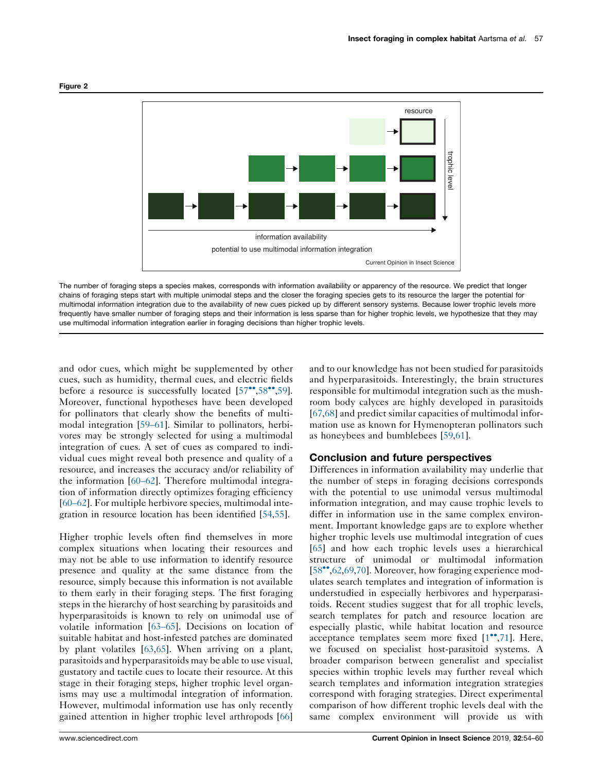<span id="page-3-0"></span>

The number of foraging steps a species makes, corresponds with information availability or apparency of the resource. We predict that longer chains of foraging steps start with multiple unimodal steps and the closer the foraging species gets to its resource the larger the potential for multimodal information integration due to the availability of new cues picked up by different sensory systems. Because lower trophic levels more frequently have smaller number of foraging steps and their information is less sparse than for higher trophic levels, we hypothesize that they may use multimodal information integration earlier in foraging decisions than higher trophic levels.

and odor cues, which might be supplemented by other cues, such as humidity, thermal cues, and electric fields before a resource is successfully located  $[57$ <sup>\*\*</sup>[,58](#page-5-0)<sup>\*\*</sup>[,59](#page-5-0)]. Moreover, functional hypotheses have been developed for pollinators that clearly show the benefits of multimodal integration [\[59–61](#page-5-0)]. Similar to pollinators, herbivores may be strongly selected for using a multimodal integration of cues. A set of cues as compared to individual cues might reveal both presence and quality of a resource, and increases the accuracy and/or reliability of the information [[60–62\]](#page-5-0). Therefore multimodal integration of information directly optimizes foraging efficiency [\[60–62](#page-5-0)]. For multiple herbivore species, multimodal integration in resource location has been identified [[54,55](#page-5-0)].

Higher trophic levels often find themselves in more complex situations when locating their resources and may not be able to use information to identify resource presence and quality at the same distance from the resource, simply because this information is not available to them early in their foraging steps. The first foraging steps in the hierarchy of host searching by parasitoids and hyperparasitoids is known to rely on unimodal use of volatile information [\[63–65](#page-5-0)]. Decisions on location of suitable habitat and host-infested patches are dominated by plant volatiles [\[63](#page-5-0),[65\]](#page-5-0). When arriving on a plant, parasitoids and hyperparasitoids may be able to use visual, gustatory and tactile cues to locate their resource. At this stage in their foraging steps, higher trophic level organisms may use a multimodal integration of information. However, multimodal information use has only recently gained attention in higher trophic level arthropods [[66\]](#page-6-0)

and to our knowledge has not been studied for parasitoids and hyperparasitoids. Interestingly, the brain structures responsible for multimodal integration such as the mushroom body calyces are highly developed in parasitoids [[67](#page-6-0),[68\]](#page-6-0) and predict similar capacities of multimodal information use as known for Hymenopteran pollinators such as honeybees and bumblebees [[59,61](#page-5-0)].

### Conclusion and future perspectives

Differences in information availability may underlie that the number of steps in foraging decisions corresponds with the potential to use unimodal versus multimodal information integration, and may cause trophic levels to differ in information use in the same complex environment. Important knowledge gaps are to explore whether higher trophic levels use multimodal integration of cues [[65](#page-5-0)] and how each trophic levels uses a hierarchical structure of unimodal or multimodal information  $[58\text{''}$  $[58\text{''}$  $[58\text{''}$ , 62, [69,70](#page-6-0)]. Moreover, how foraging experience modulates search templates and integration of information is understudied in especially herbivores and hyperparasitoids. Recent studies suggest that for all trophic levels, search templates for patch and resource location are especially plastic, while habitat location and resource acceptance templates seem more fixed  $[1^{\bullet},71]$  $[1^{\bullet},71]$ . Here, we focused on specialist host-parasitoid systems. A broader comparison between generalist and specialist species within trophic levels may further reveal which search templates and information integration strategies correspond with foraging strategies. Direct experimental comparison of how different trophic levels deal with the same complex environment will provide us with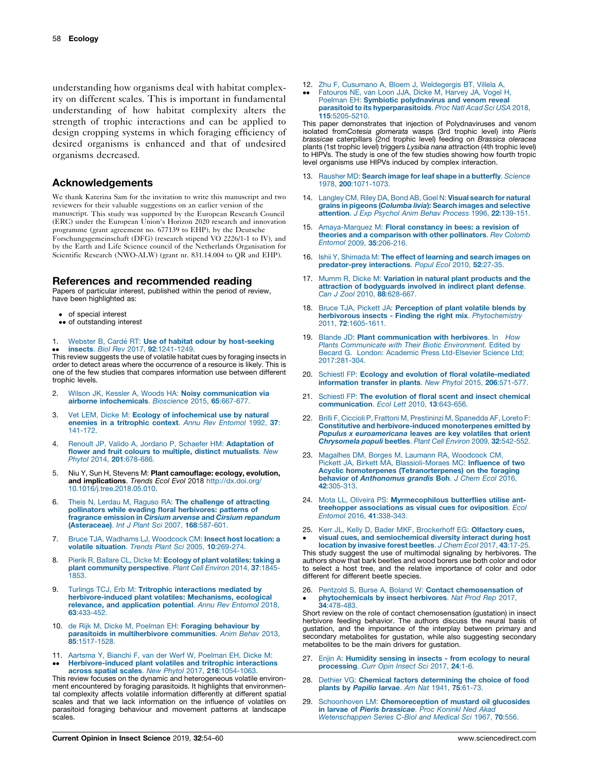<span id="page-4-0"></span>understanding how organisms deal with habitat complexity on different scales. This is important in fundamental understanding of how habitat complexity alters the strength of trophic interactions and can be applied to design cropping systems in which foraging efficiency of desired organisms is enhanced and that of undesired organisms decreased.

### Acknowledgements

We thank Katerina Sam for the invitation to write this manuscript and two reviewers for their valuable suggestions on an earlier version of the manuscript. This study was supported by the European Research Council (ERC) under the European Union's Horizon 2020 research and innovation programme (grant agreement no. 677139 to EHP), by the Deutsche Forschungsgemeinschaft (DFG) (research stipend VO 2226/1-1 to IV), and by the Earth and Life Science council of the Netherlands Organisation for Scientific Research (NWO-ALW) (grant nr. 831.14.004 to QR and EHP).

### References and recommended reading

Papers of particular interest, published within the period of review, have been highlighted as:

- of special interest
- •• of outstanding interest
- 1. Webster B, Cardé RT: Use of habitat odour by [host-seeking](http://refhub.elsevier.com/S2214-5745(18)30061-0/sbref0005) insects. Biol Rev 2017, 92[:1241-1249.](http://refhub.elsevier.com/S2214-5745(18)30061-0/sbref0005)

•• Insects. *Biol Hev 2017*, 92:1241-1249.<br>This review suggests the use of volatile habitat cues by foraging insects in order to detect areas where the occurrence of a resource is likely. This is one of the few studies that compares information use between different trophic levels.

- 2. Wilson JK, Kessler A, Woods HA: Noisy [communication](http://refhub.elsevier.com/S2214-5745(18)30061-0/sbref0010) via airborne [infochemicals](http://refhub.elsevier.com/S2214-5745(18)30061-0/sbref0010). Bioscience 2015, 65:667-677.
- 3. Vet LEM, Dicke M: Ecology of [infochemical](http://refhub.elsevier.com/S2214-5745(18)30061-0/sbref0015) use by natural enemies in a [tritrophic](http://refhub.elsevier.com/S2214-5745(18)30061-0/sbref0015) context. Annu Rev Entomol 1992, 37: [141-172.](http://refhub.elsevier.com/S2214-5745(18)30061-0/sbref0015)
- 4. Renoult JP, Valido A, Jordano P, Schaefer HM: [Adaptation](http://refhub.elsevier.com/S2214-5745(18)30061-0/sbref0020) of flower and fruit colours to multiple, distinct [mutualists](http://refhub.elsevier.com/S2214-5745(18)30061-0/sbref0020). New Phytol 2014, 201[:678-686.](http://refhub.elsevier.com/S2214-5745(18)30061-0/sbref0020)
- 5. Niu Y, Sun H, Stevens M: Plant camouflage: ecology, evolution, and implications. Trends Ecol Evol 2018 [http://dx.doi.org/](http://dx.doi.org/10.1016/j.tree.2018.05.010) [10.1016/j.tree.2018.05.010.](http://dx.doi.org/10.1016/j.tree.2018.05.010)
- 6. Theis N, Lerdau M, Raguso RA: The [challenge](http://refhub.elsevier.com/S2214-5745(18)30061-0/sbref0030) of attracting pollinators while evading floral [herbivores:](http://refhub.elsevier.com/S2214-5745(18)30061-0/sbref0030) patterns of fragrance emission in Cirsium arvense and Cirsium [repandum](http://refhub.elsevier.com/S2214-5745(18)30061-0/sbref0030) [\(Asteraceae\)](http://refhub.elsevier.com/S2214-5745(18)30061-0/sbref0030). Int J Plant Sci 2007, 168:587-601.
- 7. Bruce TJA, Wadhams LJ, [Woodcock](http://refhub.elsevier.com/S2214-5745(18)30061-0/sbref0035) CM: Insect host location: a volatile situation. Trends Plant Sci 2005, 10[:269-274.](http://refhub.elsevier.com/S2214-5745(18)30061-0/sbref0035)
- 8. Pierik R, Ballare CL, Dicke M: Ecology of plant [volatiles:](http://refhub.elsevier.com/S2214-5745(18)30061-0/sbref0040) taking a plant community [perspective](http://refhub.elsevier.com/S2214-5745(18)30061-0/sbref0040). Plant Cell Environ 2014, 37:1845- [1853.](http://refhub.elsevier.com/S2214-5745(18)30061-0/sbref0040)
- 9. Turlings TCJ, Erb M: Tritrophic [interactions](http://refhub.elsevier.com/S2214-5745(18)30061-0/sbref0045) mediated by [herbivore-induced](http://refhub.elsevier.com/S2214-5745(18)30061-0/sbref0045) plant volatiles: Mechanisms, ecological relevance, and [application](http://refhub.elsevier.com/S2214-5745(18)30061-0/sbref0045) potential. Annu Rev Entomol 2018, 63[:433-452.](http://refhub.elsevier.com/S2214-5745(18)30061-0/sbref0045)
- 10. de Rijk M, Dicke M, Poelman EH: Foraging [behaviour](http://refhub.elsevier.com/S2214-5745(18)30061-0/sbref0050) by parasitoids in [multiherbivore](http://refhub.elsevier.com/S2214-5745(18)30061-0/sbref0050) communities. Anim Behav 2013, 85[:1517-1528.](http://refhub.elsevier.com/S2214-5745(18)30061-0/sbref0050)
- 11. Aartsma Y, Bianchi F, van der Werf W, [Poelman](http://refhub.elsevier.com/S2214-5745(18)30061-0/sbref0055) EH, Dicke M:
- $\ddot{\phantom{0}}$ [Herbivore-induced](http://refhub.elsevier.com/S2214-5745(18)30061-0/sbref0055) plant volatiles and tritrophic interactions across spatial scales. New Phytol 2017, 216[:1054-1063.](http://refhub.elsevier.com/S2214-5745(18)30061-0/sbref0055)

This review focuses on the dynamic and heterogeneous volatile environment encountered by foraging parasitoids. It highlights that environmental complexity affects volatile information differently at different spatial scales and that we lack information on the influence of volatiles on parasitoid foraging behaviour and movement patterns at landscape scales.

- 12. Zhu F, Cusumano A, Bloem J, [Weldegergis](http://refhub.elsevier.com/S2214-5745(18)30061-0/sbref0060) BT, Villela A,
- $\ddot{\phantom{0}}$ [Fatouros](http://refhub.elsevier.com/S2214-5745(18)30061-0/sbref0060) NE, van Loon JJA, Dicke M, Harvey JA, Vogel H, Poelman EH: Symbiotic [polydnavirus](http://refhub.elsevier.com/S2214-5745(18)30061-0/sbref0060) and venom reveal parasitoid to its [hyperparasitoids](http://refhub.elsevier.com/S2214-5745(18)30061-0/sbref0060). Proc Natl Acad Sci USA 2018, 115[:5205-5210.](http://refhub.elsevier.com/S2214-5745(18)30061-0/sbref0060)

This paper demonstrates that injection of Polydnaviruses and venom isolated fromCotesia glomerata wasps (3rd trophic level) into Pieris brassicae caterpillars (2nd trophic level) feeding on Brassica oleracea plants (1st trophic level) triggers Lysibia nana attraction (4th trophic level) to HIPVs. The study is one of the few studies showing how fourth tropic level organisms use HIPVs induced by complex interaction.

- 13. Rausher MD: Search image for leaf shape in a [butterfly](http://refhub.elsevier.com/S2214-5745(18)30061-0/sbref0065). Science 1978, 200[:1071-1073.](http://refhub.elsevier.com/S2214-5745(18)30061-0/sbref0065)
- 14. [Langley](http://refhub.elsevier.com/S2214-5745(18)30061-0/sbref0070) CM, Riley DA, Bond AB, Goel N: Visual search for natural grains in pigeons ([Columba](http://refhub.elsevier.com/S2214-5745(18)30061-0/sbref0070) livia): Search images and selective attention. J Exp Psychol Anim Behav Process 1996, 22[:139-151.](http://refhub.elsevier.com/S2214-5745(18)30061-0/sbref0070)
- 15. [Amaya-Marquez](http://refhub.elsevier.com/S2214-5745(18)30061-0/sbref0075) M: Floral constancy in bees: a revision of theories and a [comparison](http://refhub.elsevier.com/S2214-5745(18)30061-0/sbref0075) with other pollinators. Rev Colomb Entomol 2009, 35[:206-216.](http://refhub.elsevier.com/S2214-5745(18)30061-0/sbref0075)
- 16. Ishii Y, [Shimada](http://refhub.elsevier.com/S2214-5745(18)30061-0/sbref0080) M: The effect of learning and search images on [predator-prey](http://refhub.elsevier.com/S2214-5745(18)30061-0/sbref0080) interactions. Popul Ecol 2010, 52:27-35.
- 17. Mumm R, Dicke M: Variation in natural plant [products](http://refhub.elsevier.com/S2214-5745(18)30061-0/sbref0085) and the attraction of [bodyguards](http://refhub.elsevier.com/S2214-5745(18)30061-0/sbref0085) involved in indirect plant defense. Can J Zool 2010, 88[:628-667.](http://refhub.elsevier.com/S2214-5745(18)30061-0/sbref0085)
- 18. Bruce TJA, Pickett JA: [Perception](http://refhub.elsevier.com/S2214-5745(18)30061-0/sbref0090) of plant volatile blends by herbivorous insects - Finding the right mix. [Phytochemistry](http://refhub.elsevier.com/S2214-5745(18)30061-0/sbref0090) 2011, 72[:1605-1611.](http://refhub.elsevier.com/S2214-5745(18)30061-0/sbref0090)
- 19. Blande JD: Plant [communication](http://refhub.elsevier.com/S2214-5745(18)30061-0/sbref0095) with herbivores. In How Plants [Communicate](http://refhub.elsevier.com/S2214-5745(18)30061-0/sbref0095) with Their Biotic Environment. Edited by Becard G. London: Academic Press [Ltd-Elsevier](http://refhub.elsevier.com/S2214-5745(18)30061-0/sbref0095) Science Ltd; [2017:281-304.](http://refhub.elsevier.com/S2214-5745(18)30061-0/sbref0095)
- 20. Schiestl FP: Ecology and evolution of floral [volatile-mediated](http://refhub.elsevier.com/S2214-5745(18)30061-0/sbref0100) [information](http://refhub.elsevier.com/S2214-5745(18)30061-0/sbref0100) transfer in plants. New Phytol 2015, 206:571-577.
- 21. Schiestl FP: The [evolution](http://refhub.elsevier.com/S2214-5745(18)30061-0/sbref0105) of floral scent and insect chemical [communication](http://refhub.elsevier.com/S2214-5745(18)30061-0/sbref0105). Ecol Lett 2010, 13:643-656.
- 22. Brilli F, Ciccioli P, Frattoni M, Prestininzi M, [Spanedda](http://refhub.elsevier.com/S2214-5745(18)30061-0/sbref0110) AF, Loreto F: Constitutive and [herbivore-induced](http://refhub.elsevier.com/S2214-5745(18)30061-0/sbref0110) monoterpenes emitted by Populus x [euroamericana](http://refhub.elsevier.com/S2214-5745(18)30061-0/sbref0110) leaves are key volatiles that orient [Chrysomela](http://refhub.elsevier.com/S2214-5745(18)30061-0/sbref0110) populi beetles. Plant Cell Environ 2009, 32:542-552.
- 23. Magalhes DM, Borges M, Laumann RA, [Woodcock](http://refhub.elsevier.com/S2214-5745(18)30061-0/sbref0115) CM, Pickett JA, Birkett MA, [Blassioli-Moraes](http://refhub.elsevier.com/S2214-5745(18)30061-0/sbref0115) MC: Influence of two Acyclic homoterpenes [\(Tetranorterpenes\)](http://refhub.elsevier.com/S2214-5745(18)30061-0/sbref0115) on the foraging behavior of [Anthonomus](http://refhub.elsevier.com/S2214-5745(18)30061-0/sbref0115) grandis Boh. J Chem Ecol 2016, 42[:305-313.](http://refhub.elsevier.com/S2214-5745(18)30061-0/sbref0115)
- 24. Mota LL, Oliveira PS: [Myrmecophilous](http://refhub.elsevier.com/S2214-5745(18)30061-0/sbref0120) butterflies utilise anttreehopper [associations](http://refhub.elsevier.com/S2214-5745(18)30061-0/sbref0120) as visual cues for oviposition. Ecol Entomol 2016, 41[:338-343.](http://refhub.elsevier.com/S2214-5745(18)30061-0/sbref0120)
- 25. Kerr JL, Kelly D, Bader MKF, [Brockerhoff](http://refhub.elsevier.com/S2214-5745(18)30061-0/sbref0125) EG: Olfactory cues, visual cues, and [semiochemical](http://refhub.elsevier.com/S2214-5745(18)30061-0/sbref0125) diversity interact during host

 $\bullet$ location by [invasive](http://refhub.elsevier.com/S2214-5745(18)30061-0/sbref0125) forest beetles. J Chem Ecol 2017, 43:17-25. This study suggest the use of multimodal signaling by herbivores. The authors show that bark beetles and wood borers use both color and odor to select a host tree, and the relative importance of color and odor different for different beetle species.

26. Pentzold S, Burse A, Boland W: Contact [chemosensation](http://refhub.elsevier.com/S2214-5745(18)30061-0/sbref0130) of  $\bullet$ [phytochemicals](http://refhub.elsevier.com/S2214-5745(18)30061-0/sbref0130) by insect herbivores. Nat Prod Rep 2017, 34[:478-483.](http://refhub.elsevier.com/S2214-5745(18)30061-0/sbref0130)

Short review on the role of contact chemosensation (gustation) in insect herbivore feeding behavior. The authors discuss the neural basis of gustation, and the importance of the interplay between primary and secondary metabolites for gustation, while also suggesting secondary metabolites to be the main drivers for gustation.

- 27. Enjin A: [Humidity](http://refhub.elsevier.com/S2214-5745(18)30061-0/sbref0135) sensing in insects from ecology to neural [processing](http://refhub.elsevier.com/S2214-5745(18)30061-0/sbref0135). Curr Opin Insect Sci 2017, 24:1-6.
- 28. Dethier VG: Chemical factors [determining](http://refhub.elsevier.com/S2214-5745(18)30061-0/sbref0140) the choice of food plants by [Papilio](http://refhub.elsevier.com/S2214-5745(18)30061-0/sbref0140) larvae. Am Nat 1941, 75:61-73.
- 29. Schoonhoven LM: [Chemoreception](http://refhub.elsevier.com/S2214-5745(18)30061-0/sbref0145) of mustard oil glucosides in larvae of Pieris [brassicae](http://refhub.elsevier.com/S2214-5745(18)30061-0/sbref0145). Proc Koninkl Ned Akad [Wetenschappen](http://refhub.elsevier.com/S2214-5745(18)30061-0/sbref0145) Series C-Biol and Medical Sci 1967, 70:556.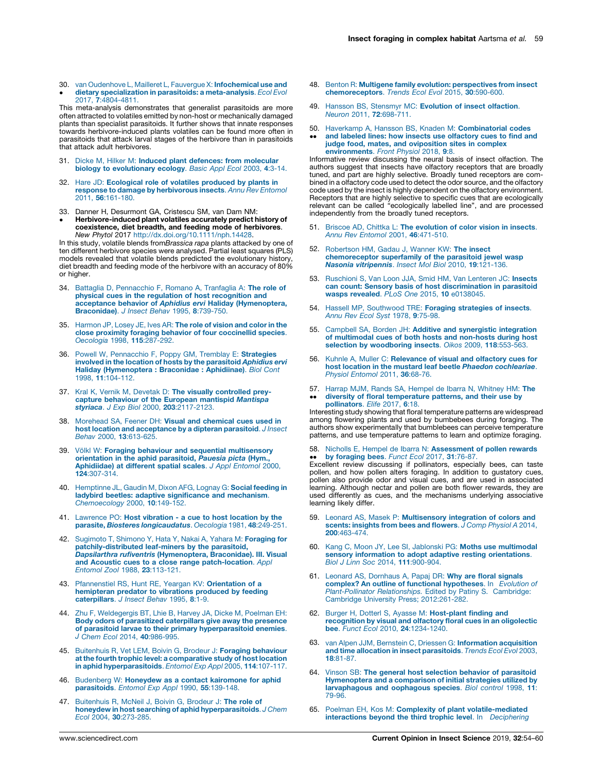<span id="page-5-0"></span>30. van Oudenhove L, Mailleret L, Fauvergue X: **[Infochemical](http://refhub.elsevier.com/S2214-5745(18)30061-0/sbref0150) use and**  $\bullet$ dietary specialization in parasitoids: a [meta-analysis](http://refhub.elsevier.com/S2214-5745(18)30061-0/sbref0150). Ecol Evol 2017, 7[:4804-4811.](http://refhub.elsevier.com/S2214-5745(18)30061-0/sbref0150)

This meta-analysis demonstrates that generalist parasitoids are more often attracted to volatiles emitted by non-host or mechanically damaged plants than specialist parasitoids. It further shows that innate responses towards herbivore-induced plants volatiles can be found more often in parasitoids that attack larval stages of the herbivore than in parasitoids that attack adult herbivores.

- 31. Dicke M, Hilker M: Induced plant defences: from [molecular](http://refhub.elsevier.com/S2214-5745(18)30061-0/sbref0155) biology to [evolutionary](http://refhub.elsevier.com/S2214-5745(18)30061-0/sbref0155) ecology. Basic Appl Ecol 2003, 4:3-14.
- 32. Hare JD: [Ecological](http://refhub.elsevier.com/S2214-5745(18)30061-0/sbref0160) role of volatiles produced by plants in response to damage by [herbivorous](http://refhub.elsevier.com/S2214-5745(18)30061-0/sbref0160) insects. Annu Rev Entomol 2011, 56[:161-180.](http://refhub.elsevier.com/S2214-5745(18)30061-0/sbref0160)
- 33. Danner H, Desurmont GA, Cristescu SM, van Dam NM:
- Networks-induced plant volaties accurately predict instory of<br>
coexistence, diet breadth, and feeding mode of herbivores.<br>
In this study, volatile blends from Brassica rapa plants attacked by one of<br>
the different herbivor Herbivore-induced plant volatiles accurately predict history of

models revealed that volatile blends predicted the evolutionary history, diet breadth and feeding mode of the herbivore with an accuracy of 80% or higher.

- 34. Battaglia D, [Pennacchio](http://refhub.elsevier.com/S2214-5745(18)30061-0/sbref0170) F, Romano A, Tranfaglia A: The role of physical cues in the regulation of host [recognition](http://refhub.elsevier.com/S2214-5745(18)30061-0/sbref0170) and acceptance behavior of Aphidius ervi Haliday [\(Hymenoptera,](http://refhub.elsevier.com/S2214-5745(18)30061-0/sbref0170) [Braconidae\)](http://refhub.elsevier.com/S2214-5745(18)30061-0/sbref0170). J Insect Behav 1995, 8:739-750.
- 35. [Harmon](http://refhub.elsevier.com/S2214-5745(18)30061-0/sbref0175) JP, Losey JE, Ives AR: The role of vision and color in the close proximity foraging behavior of four [coccinellid](http://refhub.elsevier.com/S2214-5745(18)30061-0/sbref0175) species. [Oecologia](http://refhub.elsevier.com/S2214-5745(18)30061-0/sbref0175) 1998, 115:287-292.
- 36. Powell W, [Pennacchio](http://refhub.elsevier.com/S2214-5745(18)30061-0/sbref0180) F, Poppy GM, Tremblay E: Strategies involved in the location of hosts by the [parasitoid](http://refhub.elsevier.com/S2214-5745(18)30061-0/sbref0180) Aphidius ervi Haliday [\(Hymenoptera](http://refhub.elsevier.com/S2214-5745(18)30061-0/sbref0180) : Braconidae : Aphidiinae). Biol Cont 1998, 11[:104-112.](http://refhub.elsevier.com/S2214-5745(18)30061-0/sbref0180)
- 37. Kral K, Vernik M, Devetak D: The visually [controlled](http://refhub.elsevier.com/S2214-5745(18)30061-0/sbref0185) preycapture behaviour of the European [mantispid](http://refhub.elsevier.com/S2214-5745(18)30061-0/sbref0185) *Mantispa*<br>styriaca. J Exp Biol 2000, **203**[:2117-2123.](http://refhub.elsevier.com/S2214-5745(18)30061-0/sbref0185)
- 38. [Morehead](http://refhub.elsevier.com/S2214-5745(18)30061-0/sbref0190) SA, Feener DH: Visual and chemical cues used in host location and [acceptance](http://refhub.elsevier.com/S2214-5745(18)30061-0/sbref0190) by a dipteran parasitoid. J Insect Behav 2000, 13[:613-625.](http://refhub.elsevier.com/S2214-5745(18)30061-0/sbref0190)
- 39. Völkl W: Foraging behaviour and sequential [multisensory](http://refhub.elsevier.com/S2214-5745(18)30061-0/sbref0195) [orientation](http://refhub.elsevier.com/S2214-5745(18)30061-0/sbref0195) in the aphid parasitoid, Pauesia picta (Hym., [Aphidiidae\)](http://refhub.elsevier.com/S2214-5745(18)30061-0/sbref0195) at different spatial scales. J Appl Entomol 2000, 124[:307-314.](http://refhub.elsevier.com/S2214-5745(18)30061-0/sbref0195)
- 40. [Hemptinne](http://refhub.elsevier.com/S2214-5745(18)30061-0/sbref0200) JL, Gaudin M, Dixon AFG, Lognay G: Social feeding in ladybird beetles: adaptive [significance](http://refhub.elsevier.com/S2214-5745(18)30061-0/sbref0200) and mechanism. [Chemoecology](http://refhub.elsevier.com/S2214-5745(18)30061-0/sbref0200) 2000, 10:149-152.
- 41. [Lawrence](http://refhub.elsevier.com/S2214-5745(18)30061-0/sbref0205) PO: Host vibration a cue to host location by the parasite, Biosteres [longicaudatus](http://refhub.elsevier.com/S2214-5745(18)30061-0/sbref0205). Oecologia 1981, 48:249-251.
- 42. [Sugimoto](http://refhub.elsevier.com/S2214-5745(18)30061-0/sbref0210) T, Shimono Y, Hata Y, Nakai A, Yahara M: **Foraging for**<br>**[patchily-distributed](http://refhub.elsevier.com/S2214-5745(18)30061-0/sbref0210) leaf-miners by the parasitoid,** Dapsilarthra rufiventris [\(Hymenoptera,](http://refhub.elsevier.com/S2214-5745(18)30061-0/sbref0210) Braconidae). III. Visual and Acoustic cues to a close range [patch-location](http://refhub.elsevier.com/S2214-5745(18)30061-0/sbref0210). Appl Entomol Zool 1988, 23[:113-121.](http://refhub.elsevier.com/S2214-5745(18)30061-0/sbref0210)
- 43. [Pfannenstiel](http://refhub.elsevier.com/S2214-5745(18)30061-0/sbref0215) RS, Hunt RE, Yeargan KV: Orientation of a [hemipteran](http://refhub.elsevier.com/S2214-5745(18)30061-0/sbref0215) predator to vibrations produced by feeding [caterpillars](http://refhub.elsevier.com/S2214-5745(18)30061-0/sbref0215). J Insect Behav 1995, 8:1-9.
- 44. Zhu F, [Weldegergis](http://refhub.elsevier.com/S2214-5745(18)30061-0/sbref0220) BT, Lhie B, Harvey JA, Dicke M, Poelman EH: Body odors of parasitized [caterpillars](http://refhub.elsevier.com/S2214-5745(18)30061-0/sbref0220) give away the presence of parasitoid larvae to their primary [hyperparasitoid](http://refhub.elsevier.com/S2214-5745(18)30061-0/sbref0220) enemies. J Chem Ecol 2014, 40[:986-995.](http://refhub.elsevier.com/S2214-5745(18)30061-0/sbref0220)
- 45. [Buitenhuis](http://refhub.elsevier.com/S2214-5745(18)30061-0/sbref0225) R, Vet LEM, Boivin G, Brodeur J: Foraging behaviour at the fourth trophic level: a [comparative](http://refhub.elsevier.com/S2214-5745(18)30061-0/sbref0225) study of host location in aphid [hyperparasitoids](http://refhub.elsevier.com/S2214-5745(18)30061-0/sbref0225). Entomol Exp Appl 2005, 114:107-117.
- 46. Budenberg W: Honeydew as a contact [kairomone](http://refhub.elsevier.com/S2214-5745(18)30061-0/sbref0230) for aphid [parasitoids](http://refhub.elsevier.com/S2214-5745(18)30061-0/sbref0230). Entomol Exp Appl 1990, 55:139-148.
- 47. [Buitenhuis](http://refhub.elsevier.com/S2214-5745(18)30061-0/sbref0235) R, McNeil J, Boivin G, Brodeur J: The role of honeydew in host searching of aphid [hyperparasitoids](http://refhub.elsevier.com/S2214-5745(18)30061-0/sbref0235). J Chem Ecol 2004, 30[:273-285.](http://refhub.elsevier.com/S2214-5745(18)30061-0/sbref0235)
- 48. Benton R: Multigene family evolution: [perspectives](http://refhub.elsevier.com/S2214-5745(18)30061-0/sbref0240) from insect [chemoreceptors](http://refhub.elsevier.com/S2214-5745(18)30061-0/sbref0240). Trends Ecol Evol 2015, 30:590-600.
- 49. Hansson BS, Stensmyr MC: [Evolution](http://refhub.elsevier.com/S2214-5745(18)30061-0/sbref0245) of insect olfaction. Neuron 2011, **72:**698-711.
- 50. Haverkamp A, Hansson BS, Knaden M: [Combinatorial](http://refhub.elsevier.com/S2214-5745(18)30061-0/sbref0250) codes  $\ddot{\phantom{0}}$ and labeled lines: how insects use [olfactory](http://refhub.elsevier.com/S2214-5745(18)30061-0/sbref0250) cues to find and judge food, mates, and [oviposition](http://refhub.elsevier.com/S2214-5745(18)30061-0/sbref0250) sites in complex [environments](http://refhub.elsevier.com/S2214-5745(18)30061-0/sbref0250). Front Physiol 2018, 9:8.

Informative review discussing the neural basis of insect olfaction. The authors suggest that insects have olfactory receptors that are broadly tuned, and part are highly selective. Broadly tuned receptors are combined in a olfactory code used to detect the odor source, and the olfactory code used by the insect is highly dependent on the olfactory environment. Receptors that are highly selective to specific cues that are ecologically relevant can be called "ecologically labelled line", and are processed independently from the broadly tuned receptors.

- 51. Briscoe AD, Chittka L: The [evolution](http://refhub.elsevier.com/S2214-5745(18)30061-0/sbref0255) of color vision in insects.<br>Annu Rev Entomol 2001, 46[:471-510.](http://refhub.elsevier.com/S2214-5745(18)30061-0/sbref0255)
- 52. [Robertson](http://refhub.elsevier.com/S2214-5745(18)30061-0/sbref0260) HM, Gadau J, Wanner KW: The insect [chemoreceptor](http://refhub.elsevier.com/S2214-5745(18)30061-0/sbref0260) superfamily of the parasitoid jewel wasp Nasonia [vitripennis](http://refhub.elsevier.com/S2214-5745(18)30061-0/sbref0260). Insect Mol Biol 2010, 19:121-136.
- 53. [Ruschioni](http://refhub.elsevier.com/S2214-5745(18)30061-0/sbref0265) S, Van Loon JJA, Smid HM, Van Lenteren JC: Insects can count: Sensory basis of host [discrimination](http://refhub.elsevier.com/S2214-5745(18)30061-0/sbref0265) in parasitoid wasps revealed. PLoS One 2015, 10 [e0138045.](http://refhub.elsevier.com/S2214-5745(18)30061-0/sbref0265)
- 54. Hassell MP, [Southwood](http://refhub.elsevier.com/S2214-5745(18)30061-0/sbref0270) TRE: Foraging strategies of insects. Annu Rev Ecol Syst 1978, 9[:75-98.](http://refhub.elsevier.com/S2214-5745(18)30061-0/sbref0270)
- 55. Campbell SA, Borden JH: Additive and [synergistic](http://refhub.elsevier.com/S2214-5745(18)30061-0/sbref0275) integration of [multimodal](http://refhub.elsevier.com/S2214-5745(18)30061-0/sbref0275) cues of both hosts and non-hosts during host selection by [woodboring](http://refhub.elsevier.com/S2214-5745(18)30061-0/sbref0275) insects. Oikos 2009, 118:553-563.
- 56. Kuhnle A, Muller C: [Relevance](http://refhub.elsevier.com/S2214-5745(18)30061-0/sbref0280) of visual and olfactory cues for host location in the mustard leaf beetle Phaedon [cochleariae](http://refhub.elsevier.com/S2214-5745(18)30061-0/sbref0280). Physiol [Entomol](http://refhub.elsevier.com/S2214-5745(18)30061-0/sbref0280) 2011, 36:68-76.
- 57. Harrap MJM, Rands SA, Hempel de Ibarra N, [Whitney](http://refhub.elsevier.com/S2214-5745(18)30061-0/sbref0285) HM: The  $\ddot{\phantom{0}}$ diversity of floral [temperature](http://refhub.elsevier.com/S2214-5745(18)30061-0/sbref0285) patterns, and their use by [pollinators](http://refhub.elsevier.com/S2214-5745(18)30061-0/sbref0285). Elife 2017, 6:18.

Interesting study showing that floral temperature patterns are widespread among flowering plants and used by bumbebees during foraging. The authors show experimentally that bumblebees can perceive temperature patterns, and use temperature patterns to learn and optimize foraging.

58. Nicholls E, Hempel de Ibarra N: [Assessment](http://refhub.elsevier.com/S2214-5745(18)30061-0/sbref0290) of pollen rewards by [foraging](http://refhub.elsevier.com/S2214-5745(18)30061-0/sbref0290) bees. Funct Ecol 2017, 31:76-87.

• **by foraging bees**. Funct Ecol 2017, 31.16-87.<br>Excellent review discussing if pollinators, especially bees, can taste pollen, and how pollen alters foraging. In addition to gustatory cues, pollen also provide odor and visual cues, and are used in associated learning. Although nectar and pollen are both flower rewards, they are used differently as cues, and the mechanisms underlying associative learning likely differ.

- 59. Leonard AS, Masek P: [Multisensory](http://refhub.elsevier.com/S2214-5745(18)30061-0/sbref0295) integration of colors and scents: [insights](http://refhub.elsevier.com/S2214-5745(18)30061-0/sbref0295) from bees and flowers. J Comp Physiol A 2014, 200[:463-474.](http://refhub.elsevier.com/S2214-5745(18)30061-0/sbref0295)
- 60. Kang C, Moon JY, Lee SI, Jablonski PG: Moths use [multimodal](http://refhub.elsevier.com/S2214-5745(18)30061-0/sbref0300) sensory information to adopt adaptive resting [orientations](http://refhub.elsevier.com/S2214-5745(18)30061-0/sbref0300). Biol J Linn Soc 2014, 111[:900-904.](http://refhub.elsevier.com/S2214-5745(18)30061-0/sbref0300)
- 61. Leonard AS, [Dornhaus](http://refhub.elsevier.com/S2214-5745(18)30061-0/sbref0305) A, Papaj DR: Why are floral signals complex? An outline of functional [hypotheses](http://refhub.elsevier.com/S2214-5745(18)30061-0/sbref0305). In Evolution of [Plant-Pollinator](http://refhub.elsevier.com/S2214-5745(18)30061-0/sbref0305) Relationships. Edited by Patiny S. Cambridge: Cambridge University Press; [2012:261-282](http://refhub.elsevier.com/S2214-5745(18)30061-0/sbref0305).
- 62. Burger H, Dotterl S, Ayasse M: [Host-plant](http://refhub.elsevier.com/S2214-5745(18)30061-0/sbref0310) finding and [recognition](http://refhub.elsevier.com/S2214-5745(18)30061-0/sbref0310) by visual and olfactory floral cues in an oligolectic bee. Funct Ecol 2010, 24[:1234-1240.](http://refhub.elsevier.com/S2214-5745(18)30061-0/sbref0310)
- 63. van Alpen JJM, Bernstein C, Driessen G: [Information](http://refhub.elsevier.com/S2214-5745(18)30061-0/sbref0315) acquisition and time allocation in insect [parasitoids](http://refhub.elsevier.com/S2214-5745(18)30061-0/sbref0315). Trends Ecol Evol 2003, 18[:81-87.](http://refhub.elsevier.com/S2214-5745(18)30061-0/sbref0315)
- 64. Vinson SB: The general host selection behavior of [parasitoid](http://refhub.elsevier.com/S2214-5745(18)30061-0/sbref0320) [Hymenoptera](http://refhub.elsevier.com/S2214-5745(18)30061-0/sbref0320) and a comparison of initial strategies utilized by [larvaphagous](http://refhub.elsevier.com/S2214-5745(18)30061-0/sbref0320) and oophagous species. Biol control 1998, 11: [79-96.](http://refhub.elsevier.com/S2214-5745(18)30061-0/sbref0320)
- 65. Poelman EH, Kos M: Complexity of plant [volatile-mediated](http://refhub.elsevier.com/S2214-5745(18)30061-0/sbref0325) [interactions](http://refhub.elsevier.com/S2214-5745(18)30061-0/sbref0325) beyond the third trophic level. In Deciphering